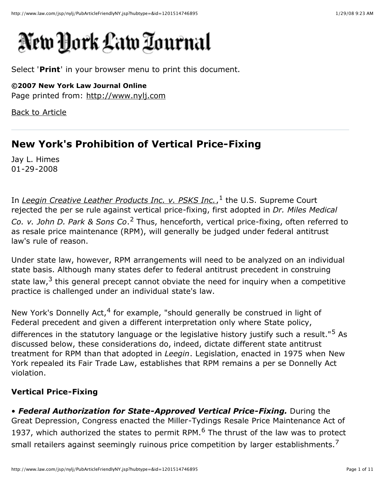# New York Law Tournal

Select '**Print**' in your browser menu to print this document.

**©2007 New York Law Journal Online** Page printed from: [http://www.nylj.com](http://www.nylj.com/)

Back to [Article](http://www.law.com/jsp/nylj/PubArticleNY.jsp?id=1201514746895)

# **New York's Prohibition of Vertical Price-Fixing**

Jay L. Himes 01-29-2008

In *Leegin Creative Leather [Products](http://www.supremecourtus.gov/opinions/06pdf/06-480.pdf) Inc. v. PSKS Inc.*, <sup>1</sup> the U.S. Supreme Court rejected the per se rule against vertical price-fixing, first adopted in *Dr. Miles Medical Co. v. John D. Park & Sons Co*. <sup>2</sup> Thus, henceforth, vertical price-fixing, often referred to as resale price maintenance (RPM), will generally be judged under federal antitrust law's rule of reason.

Under state law, however, RPM arrangements will need to be analyzed on an individual state basis. Although many states defer to federal antitrust precedent in construing state law, $3$  this general precept cannot obviate the need for inquiry when a competitive practice is challenged under an individual state's law.

New York's Donnelly Act,<sup>4</sup> for example, "should generally be construed in light of Federal precedent and given a different interpretation only where State policy, differences in the statutory language or the legislative history justify such a result."<sup>5</sup> As discussed below, these considerations do, indeed, dictate different state antitrust treatment for RPM than that adopted in *Leegin*. Legislation, enacted in 1975 when New York repealed its Fair Trade Law, establishes that RPM remains a per se Donnelly Act violation.

# **Vertical Price-Fixing**

• *Federal Authorization for State-Approved Vertical Price-Fixing.* During the Great Depression, Congress enacted the Miller-Tydings Resale Price Maintenance Act of 1937, which authorized the states to permit RPM. $<sup>6</sup>$  The thrust of the law was to protect</sup> small retailers against seemingly ruinous price competition by larger establishments.<sup>7</sup>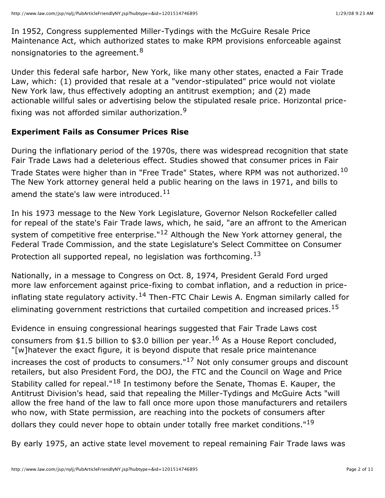In 1952, Congress supplemented Miller-Tydings with the McGuire Resale Price Maintenance Act, which authorized states to make RPM provisions enforceable against nonsignatories to the agreement.<sup>8</sup>

Under this federal safe harbor, New York, like many other states, enacted a Fair Trade Law, which: (1) provided that resale at a "vendor-stipulated" price would not violate New York law, thus effectively adopting an antitrust exemption; and (2) made actionable willful sales or advertising below the stipulated resale price. Horizontal pricefixing was not afforded similar authorization.<sup>9</sup>

#### **Experiment Fails as Consumer Prices Rise**

During the inflationary period of the 1970s, there was widespread recognition that state Fair Trade Laws had a deleterious effect. Studies showed that consumer prices in Fair Trade States were higher than in "Free Trade" States, where RPM was not authorized.<sup>10</sup> The New York attorney general held a public hearing on the laws in 1971, and bills to amend the state's law were introduced.<sup>11</sup>

In his 1973 message to the New York Legislature, Governor Nelson Rockefeller called for repeal of the state's Fair Trade laws, which, he said, "are an affront to the American system of competitive free enterprise."<sup>12</sup> Although the New York attorney general, the Federal Trade Commission, and the state Legislature's Select Committee on Consumer Protection all supported repeal, no legislation was forthcoming.<sup>13</sup>

Nationally, in a message to Congress on Oct. 8, 1974, President Gerald Ford urged more law enforcement against price-fixing to combat inflation, and a reduction in priceinflating state regulatory activity.<sup>14</sup> Then-FTC Chair Lewis A. Engman similarly called for eliminating government restrictions that curtailed competition and increased prices. $^{15}$ 

Evidence in ensuing congressional hearings suggested that Fair Trade Laws cost consumers from \$1.5 billion to \$3.0 billion per year.<sup>16</sup> As a House Report concluded, "[w]hatever the exact figure, it is beyond dispute that resale price maintenance increases the cost of products to consumers." $17$  Not only consumer groups and discount retailers, but also President Ford, the DOJ, the FTC and the Council on Wage and Price Stability called for repeal." $^{18}$  In testimony before the Senate, Thomas E. Kauper, the Antitrust Division's head, said that repealing the Miller-Tydings and McGuire Acts "will allow the free hand of the law to fall once more upon those manufacturers and retailers who now, with State permission, are reaching into the pockets of consumers after dollars they could never hope to obtain under totally free market conditions." $^{19}$ 

By early 1975, an active state level movement to repeal remaining Fair Trade laws was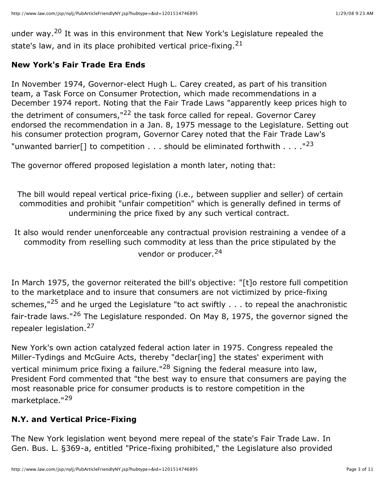under way.<sup>20</sup> It was in this environment that New York's Legislature repealed the state's law, and in its place prohibited vertical price-fixing.  $21$ 

### **New York's Fair Trade Era Ends**

In November 1974, Governor-elect Hugh L. Carey created, as part of his transition team, a Task Force on Consumer Protection, which made recommendations in a December 1974 report. Noting that the Fair Trade Laws "apparently keep prices high to the detriment of consumers,"<sup>22</sup> the task force called for repeal. Governor Carey endorsed the recommendation in a Jan. 8, 1975 message to the Legislature. Setting out his consumer protection program, Governor Carey noted that the Fair Trade Law's "unwanted barrier<sup>[]</sup> to competition . . . should be eliminated forthwith . . . . "<sup>23</sup>

The governor offered proposed legislation a month later, noting that:

The bill would repeal vertical price-fixing (i.e., between supplier and seller) of certain commodities and prohibit "unfair competition" which is generally defined in terms of undermining the price fixed by any such vertical contract.

It also would render unenforceable any contractual provision restraining a vendee of a commodity from reselling such commodity at less than the price stipulated by the vendor or producer.<sup>24</sup>

In March 1975, the governor reiterated the bill's objective: "[t]o restore full competition to the marketplace and to insure that consumers are not victimized by price-fixing schemes," $^{25}$  and he urged the Legislature "to act swiftly  $\dots$  to repeal the anachronistic fair-trade laws."<sup>26</sup> The Legislature responded. On May 8, 1975, the governor signed the repealer legislation.<sup>27</sup>

New York's own action catalyzed federal action later in 1975. Congress repealed the Miller-Tydings and McGuire Acts, thereby "declar[ing] the states' experiment with vertical minimum price fixing a failure."<sup>28</sup> Signing the federal measure into law, President Ford commented that "the best way to ensure that consumers are paying the most reasonable price for consumer products is to restore competition in the marketplace."<sup>29</sup>

# **N.Y. and Vertical Price-Fixing**

The New York legislation went beyond mere repeal of the state's Fair Trade Law. In Gen. Bus. L. §369-a, entitled "Price-fixing prohibited," the Legislature also provided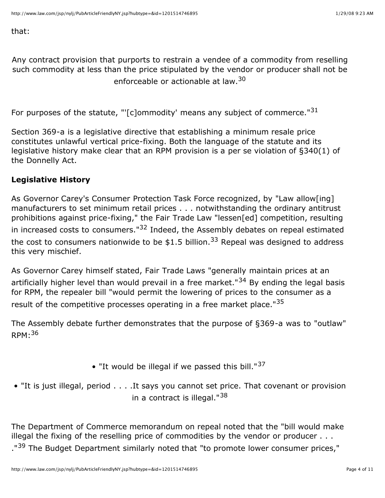that:

Any contract provision that purports to restrain a vendee of a commodity from reselling such commodity at less than the price stipulated by the vendor or producer shall not be enforceable or actionable at law.<sup>30</sup>

For purposes of the statute, "'[c]ommodity' means any subject of commerce." $31$ 

Section 369-a is a legislative directive that establishing a minimum resale price constitutes unlawful vertical price-fixing. Both the language of the statute and its legislative history make clear that an RPM provision is a per se violation of §340(1) of the Donnelly Act.

#### **Legislative History**

As Governor Carey's Consumer Protection Task Force recognized, by "Law allow[ing] manufacturers to set minimum retail prices . . . notwithstanding the ordinary antitrust prohibitions against price-fixing," the Fair Trade Law "lessen[ed] competition, resulting in increased costs to consumers." $32$  Indeed, the Assembly debates on repeal estimated the cost to consumers nationwide to be \$1.5 billion.<sup>33</sup> Repeal was designed to address this very mischief.

As Governor Carey himself stated, Fair Trade Laws "generally maintain prices at an artificially higher level than would prevail in a free market."<sup>34</sup> By ending the legal basis for RPM, the repealer bill "would permit the lowering of prices to the consumer as a result of the competitive processes operating in a free market place."<sup>35</sup>

The Assembly debate further demonstrates that the purpose of §369-a was to "outlaw"  $RPM.36$ 

- "It would be illegal if we passed this bill." $37$
- "It is just illegal, period . . . .It says you cannot set price. That covenant or provision in a contract is illegal."<sup>38</sup>

The Department of Commerce memorandum on repeal noted that the "bill would make illegal the fixing of the reselling price of commodities by the vendor or producer . . . ."<sup>39</sup> The Budget Department similarly noted that "to promote lower consumer prices,"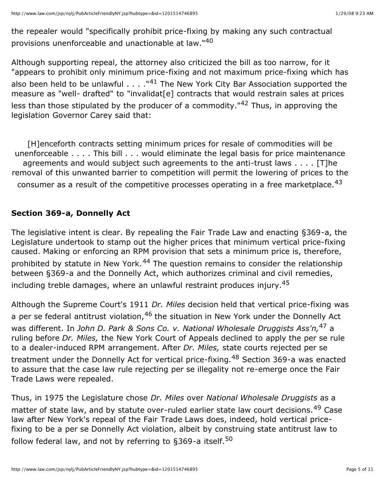the repealer would "specifically prohibit price-fixing by making any such contractual provisions unenforceable and unactionable at law."<sup>40</sup>

Although supporting repeal, the attorney also criticized the bill as too narrow, for it "appears to prohibit only minimum price-fixing and not maximum price-fixing which has also been held to be unlawful  $\ldots$ . "<sup>41</sup> The New York City Bar Association supported the measure as "well- drafted" to "invalidat<sup>[e]</sup> contracts that would restrain sales at prices less than those stipulated by the producer of a commodity."<sup>42</sup> Thus, in approving the legislation Governor Carey said that:

[H]enceforth contracts setting minimum prices for resale of commodities will be unenforceable . . . . This bill . . . would eliminate the legal basis for price maintenance agreements and would subject such agreements to the anti-trust laws . . . . [T]he removal of this unwanted barrier to competition will permit the lowering of prices to the consumer as a result of the competitive processes operating in a free marketplace.<sup>43</sup>

#### **Section 369-a, Donnelly Act**

The legislative intent is clear. By repealing the Fair Trade Law and enacting §369-a, the Legislature undertook to stamp out the higher prices that minimum vertical price-fixing caused. Making or enforcing an RPM provision that sets a minimum price is, therefore, prohibited by statute in New York.<sup>44</sup> The question remains to consider the relationship between §369-a and the Donnelly Act, which authorizes criminal and civil remedies, including treble damages, where an unlawful restraint produces injury.45

Although the Supreme Court's 1911 *Dr. Miles* decision held that vertical price-fixing was a per se federal antitrust violation, <sup>46</sup> the situation in New York under the Donnelly Act was different. In *John D. Park & Sons Co. v. National Wholesale Druggists Ass'n,*<sup>47</sup> a ruling before *Dr. Miles,* the New York Court of Appeals declined to apply the per se rule to a dealer-induced RPM arrangement. After *Dr. Miles,* state courts rejected per se treatment under the Donnelly Act for vertical price-fixing.<sup>48</sup> Section 369-a was enacted to assure that the case law rule rejecting per se illegality not re-emerge once the Fair Trade Laws were repealed.

Thus, in 1975 the Legislature chose *Dr. Miles* over *National Wholesale Druggists* as a matter of state law, and by statute over-ruled earlier state law court decisions.<sup>49</sup> Case law after New York's repeal of the Fair Trade Laws does, indeed, hold vertical pricefixing to be a per se Donnelly Act violation, albeit by construing state antitrust law to follow federal law, and not by referring to  $$369$ -a itself.<sup>50</sup>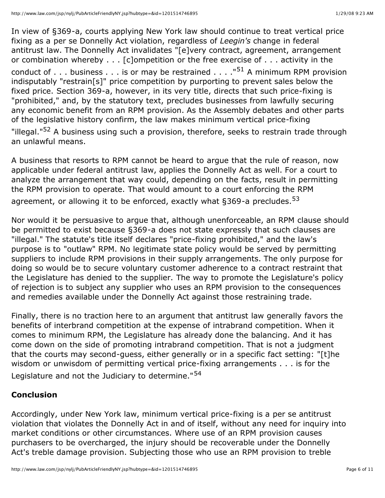In view of §369-a, courts applying New York law should continue to treat vertical price fixing as a per se Donnelly Act violation, regardless of *Leegin's* change in federal antitrust law. The Donnelly Act invalidates "[e]very contract, agreement, arrangement or combination whereby . . . [c]ompetition or the free exercise of . . . activity in the conduct of . . . business . . . is or may be restrained . . . . "<sup>51</sup> A minimum RPM provision indisputably "restrain[s]" price competition by purporting to prevent sales below the fixed price. Section 369-a, however, in its very title, directs that such price-fixing is "prohibited," and, by the statutory text, precludes businesses from lawfully securing any economic benefit from an RPM provision. As the Assembly debates and other parts of the legislative history confirm, the law makes minimum vertical price-fixing "illegal."<sup>52</sup> A business using such a provision, therefore, seeks to restrain trade through an unlawful means.

A business that resorts to RPM cannot be heard to argue that the rule of reason, now applicable under federal antitrust law, applies the Donnelly Act as well. For a court to analyze the arrangement that way could, depending on the facts, result in permitting the RPM provision to operate. That would amount to a court enforcing the RPM agreement, or allowing it to be enforced, exactly what §369-a precludes.<sup>53</sup>

Nor would it be persuasive to argue that, although unenforceable, an RPM clause should be permitted to exist because §369-a does not state expressly that such clauses are "illegal." The statute's title itself declares "price-fixing prohibited," and the law's purpose is to "outlaw" RPM. No legitimate state policy would be served by permitting suppliers to include RPM provisions in their supply arrangements. The only purpose for doing so would be to secure voluntary customer adherence to a contract restraint that the Legislature has denied to the supplier. The way to promote the Legislature's policy of rejection is to subject any supplier who uses an RPM provision to the consequences and remedies available under the Donnelly Act against those restraining trade.

Finally, there is no traction here to an argument that antitrust law generally favors the benefits of interbrand competition at the expense of intrabrand competition. When it comes to minimum RPM, the Legislature has already done the balancing. And it has come down on the side of promoting intrabrand competition. That is not a judgment that the courts may second-guess, either generally or in a specific fact setting: "[t]he wisdom or unwisdom of permitting vertical price-fixing arrangements . . . is for the Legislature and not the Judiciary to determine."<sup>54</sup>

#### **Conclusion**

Accordingly, under New York law, minimum vertical price-fixing is a per se antitrust violation that violates the Donnelly Act in and of itself, without any need for inquiry into market conditions or other circumstances. Where use of an RPM provision causes purchasers to be overcharged, the injury should be recoverable under the Donnelly Act's treble damage provision. Subjecting those who use an RPM provision to treble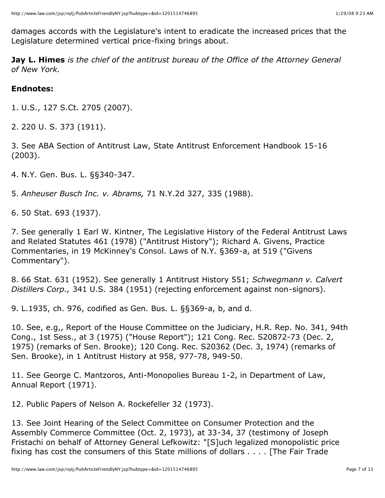damages accords with the Legislature's intent to eradicate the increased prices that the Legislature determined vertical price-fixing brings about.

**Jay L. Himes** *is the chief of the antitrust bureau of the Office of the Attorney General of New York.*

# **Endnotes:**

1. U.S., 127 S.Ct. 2705 (2007).

2. 220 U. S. 373 (1911).

3. See ABA Section of Antitrust Law, State Antitrust Enforcement Handbook 15-16 (2003).

4. N.Y. Gen. Bus. L. §§340-347.

5. *Anheuser Busch Inc. v. Abrams,* 71 N.Y.2d 327, 335 (1988).

6. 50 Stat. 693 (1937).

7. See generally 1 Earl W. Kintner, The Legislative History of the Federal Antitrust Laws and Related Statutes 461 (1978) ("Antitrust History"); Richard A. Givens, Practice Commentaries, in 19 McKinney's Consol. Laws of N.Y. §369-a, at 519 ("Givens Commentary").

8. 66 Stat. 631 (1952). See generally 1 Antitrust History 551; *Schwegmann v. Calvert Distillers Corp.,* 341 U.S. 384 (1951) (rejecting enforcement against non-signors).

9. L.1935, ch. 976, codified as Gen. Bus. L. §§369-a, b, and d.

10. See, e.g,, Report of the House Committee on the Judiciary, H.R. Rep. No. 341, 94th Cong., 1st Sess., at 3 (1975) ("House Report"); 121 Cong. Rec. S20872-73 (Dec. 2, 1975) (remarks of Sen. Brooke); 120 Cong. Rec. S20362 (Dec. 3, 1974) (remarks of Sen. Brooke), in 1 Antitrust History at 958, 977-78, 949-50.

11. See George C. Mantzoros, Anti-Monopolies Bureau 1-2, in Department of Law, Annual Report (1971).

12. Public Papers of Nelson A. Rockefeller 32 (1973).

13. See Joint Hearing of the Select Committee on Consumer Protection and the Assembly Commerce Committee (Oct. 2, 1973), at 33-34, 37 (testimony of Joseph Fristachi on behalf of Attorney General Lefkowitz: "[S]uch legalized monopolistic price fixing has cost the consumers of this State millions of dollars . . . . [The Fair Trade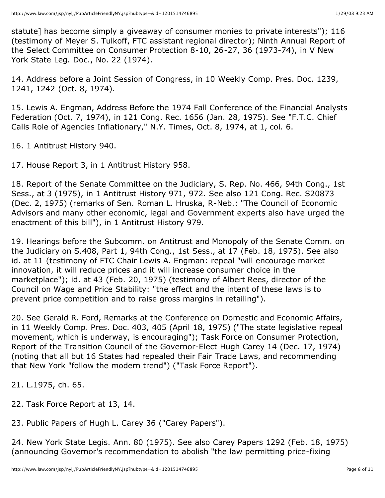statute] has become simply a giveaway of consumer monies to private interests"); 116 (testimony of Meyer S. Tulkoff, FTC assistant regional director); Ninth Annual Report of the Select Committee on Consumer Protection 8-10, 26-27, 36 (1973-74), in V New York State Leg. Doc., No. 22 (1974).

14. Address before a Joint Session of Congress, in 10 Weekly Comp. Pres. Doc. 1239, 1241, 1242 (Oct. 8, 1974).

15. Lewis A. Engman, Address Before the 1974 Fall Conference of the Financial Analysts Federation (Oct. 7, 1974), in 121 Cong. Rec. 1656 (Jan. 28, 1975). See "F.T.C. Chief Calls Role of Agencies Inflationary," N.Y. Times, Oct. 8, 1974, at 1, col. 6.

16. 1 Antitrust History 940.

17. House Report 3, in 1 Antitrust History 958.

18. Report of the Senate Committee on the Judiciary, S. Rep. No. 466, 94th Cong., 1st Sess., at 3 (1975), in 1 Antitrust History 971, 972. See also 121 Cong. Rec. S20873 (Dec. 2, 1975) (remarks of Sen. Roman L. Hruska, R-Neb.: "The Council of Economic Advisors and many other economic, legal and Government experts also have urged the enactment of this bill"), in 1 Antitrust History 979.

19. Hearings before the Subcomm. on Antitrust and Monopoly of the Senate Comm. on the Judiciary on S.408, Part 1, 94th Cong., 1st Sess., at 17 (Feb. 18, 1975). See also id. at 11 (testimony of FTC Chair Lewis A. Engman: repeal "will encourage market innovation, it will reduce prices and it will increase consumer choice in the marketplace"); id. at 43 (Feb. 20, 1975) (testimony of Albert Rees, director of the Council on Wage and Price Stability: "the effect and the intent of these laws is to prevent price competition and to raise gross margins in retailing").

20. See Gerald R. Ford, Remarks at the Conference on Domestic and Economic Affairs, in 11 Weekly Comp. Pres. Doc. 403, 405 (April 18, 1975) ("The state legislative repeal movement, which is underway, is encouraging"); Task Force on Consumer Protection, Report of the Transition Council of the Governor-Elect Hugh Carey 14 (Dec. 17, 1974) (noting that all but 16 States had repealed their Fair Trade Laws, and recommending that New York "follow the modern trend") ("Task Force Report").

21. L.1975, ch. 65.

22. Task Force Report at 13, 14.

23. Public Papers of Hugh L. Carey 36 ("Carey Papers").

24. New York State Legis. Ann. 80 (1975). See also Carey Papers 1292 (Feb. 18, 1975) (announcing Governor's recommendation to abolish "the law permitting price-fixing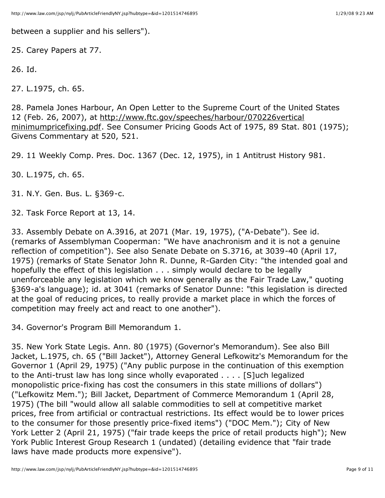between a supplier and his sellers").

25. Carey Papers at 77.

```
26. Id.
```
27. L.1975, ch. 65.

28. Pamela Jones Harbour, An Open Letter to the Supreme Court of the United States 12 (Feb. 26, 2007), at [http://www.ftc.gov/speeches/harbour/070226vertical](http://www.ftc.gov/speeches/harbour/070226vertical%20minimumpricefixing.pdf) minimumpricefixing.pdf. See Consumer Pricing Goods Act of 1975, 89 Stat. 801 (1975); Givens Commentary at 520, 521.

29. 11 Weekly Comp. Pres. Doc. 1367 (Dec. 12, 1975), in 1 Antitrust History 981.

30. L.1975, ch. 65.

31. N.Y. Gen. Bus. L. §369-c.

32. Task Force Report at 13, 14.

33. Assembly Debate on A.3916, at 2071 (Mar. 19, 1975), ("A-Debate"). See id. (remarks of Assemblyman Cooperman: "We have anachronism and it is not a genuine reflection of competition"). See also Senate Debate on S.3716, at 3039-40 (April 17, 1975) (remarks of State Senator John R. Dunne, R-Garden City: "the intended goal and hopefully the effect of this legislation . . . simply would declare to be legally unenforceable any legislation which we know generally as the Fair Trade Law," quoting §369-a's language); id. at 3041 (remarks of Senator Dunne: "this legislation is directed at the goal of reducing prices, to really provide a market place in which the forces of competition may freely act and react to one another").

34. Governor's Program Bill Memorandum 1.

35. New York State Legis. Ann. 80 (1975) (Governor's Memorandum). See also Bill Jacket, L.1975, ch. 65 ("Bill Jacket"), Attorney General Lefkowitz's Memorandum for the Governor 1 (April 29, 1975) ("Any public purpose in the continuation of this exemption to the Anti-trust law has long since wholly evaporated . . . . [S]uch legalized monopolistic price-fixing has cost the consumers in this state millions of dollars") ("Lefkowitz Mem."); Bill Jacket, Department of Commerce Memorandum 1 (April 28, 1975) (The bill "would allow all salable commodities to sell at competitive market prices, free from artificial or contractual restrictions. Its effect would be to lower prices to the consumer for those presently price-fixed items") ("DOC Mem."); City of New York Letter 2 (April 21, 1975) ("fair trade keeps the price of retail products high"); New York Public Interest Group Research 1 (undated) (detailing evidence that "fair trade laws have made products more expensive").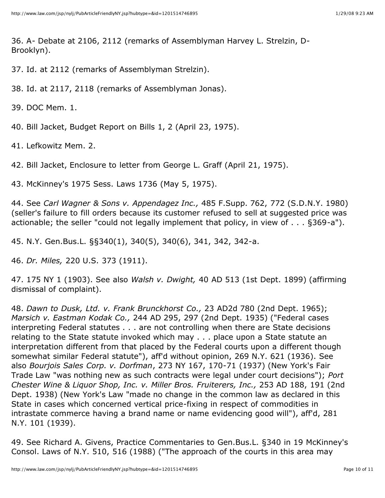36. A- Debate at 2106, 2112 (remarks of Assemblyman Harvey L. Strelzin, D-Brooklyn).

37. Id. at 2112 (remarks of Assemblyman Strelzin).

38. Id. at 2117, 2118 (remarks of Assemblyman Jonas).

39. DOC Mem. 1.

40. Bill Jacket, Budget Report on Bills 1, 2 (April 23, 1975).

41. Lefkowitz Mem. 2.

42. Bill Jacket, Enclosure to letter from George L. Graff (April 21, 1975).

43. McKinney's 1975 Sess. Laws 1736 (May 5, 1975).

44. See *Carl Wagner & Sons v. Appendagez Inc.,* 485 F.Supp. 762, 772 (S.D.N.Y. 1980) (seller's failure to fill orders because its customer refused to sell at suggested price was actionable; the seller "could not legally implement that policy, in view of . . . §369-a").

45. N.Y. Gen.Bus.L. §§340(1), 340(5), 340(6), 341, 342, 342-a.

46. *Dr. Miles,* 220 U.S. 373 (1911).

47. 175 NY 1 (1903). See also *Walsh v. Dwight,* 40 AD 513 (1st Dept. 1899) (affirming dismissal of complaint).

48. *Dawn to Dusk, Ltd. v. Frank Brunckhorst Co.,* 23 AD2d 780 (2nd Dept. 1965); *Marsich v. Eastman Kodak Co.,* 244 AD 295, 297 (2nd Dept. 1935) ("Federal cases interpreting Federal statutes . . . are not controlling when there are State decisions relating to the State statute invoked which may . . . place upon a State statute an interpretation different from that placed by the Federal courts upon a different though somewhat similar Federal statute"), aff'd without opinion, 269 N.Y. 621 (1936). See also *Bourjois Sales Corp. v. Dorfman*, 273 NY 167, 170-71 (1937) (New York's Fair Trade Law "was nothing new as such contracts were legal under court decisions"); *Port Chester Wine & Liquor Shop, Inc. v. Miller Bros. Fruiterers, Inc.,* 253 AD 188, 191 (2nd Dept. 1938) (New York's Law "made no change in the common law as declared in this State in cases which concerned vertical price-fixing in respect of commodities in intrastate commerce having a brand name or name evidencing good will"), aff'd, 281 N.Y. 101 (1939).

49. See Richard A. Givens, Practice Commentaries to Gen.Bus.L. §340 in 19 McKinney's Consol. Laws of N.Y. 510, 516 (1988) ("The approach of the courts in this area may